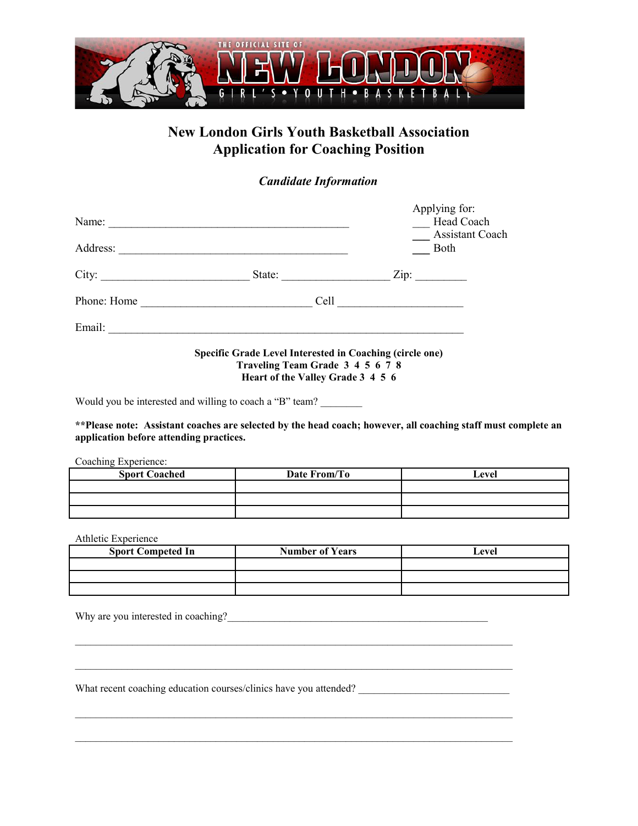

## **New London Girls Youth Basketball Association Application for Coaching Position**

*Candidate Information*

| Name:       |                                                                                              | Applying for:<br>Head Coach                         |
|-------------|----------------------------------------------------------------------------------------------|-----------------------------------------------------|
| Address:    |                                                                                              | <b>Assistant Coach</b><br>Both                      |
| City:       | State:                                                                                       | $\mathsf{Zip:}$                                     |
| Phone: Home | Cell<br><u> 1980 - Andrea Andrew Maria (h. 1980).</u>                                        | <u> 1989 - Andrea Station Barbara, amerikan per</u> |
| Email:      |                                                                                              |                                                     |
|             | Specific Grade Level Interested in Coaching (circle one)<br>Traveling Team Grade 3 4 5 6 7 8 |                                                     |

**Heart of the Valley Grade 3 4 5 6**

Would you be interested and willing to coach a "B" team?

**\*\*Please note: Assistant coaches are selected by the head coach; however, all coaching staff must complete an application before attending practices.**

Coaching Experience:

| <b>Sport Coached</b> | Date From/To | Level |
|----------------------|--------------|-------|
|                      |              |       |
|                      |              |       |
|                      |              |       |

Athletic Experience

| <b>Sport Competed In</b> | <b>Number of Years</b> | Level |
|--------------------------|------------------------|-------|
|                          |                        |       |
|                          |                        |       |
|                          |                        |       |

 $\mathcal{L}_\mathcal{L} = \{ \mathcal{L}_\mathcal{L} = \{ \mathcal{L}_\mathcal{L} = \{ \mathcal{L}_\mathcal{L} = \{ \mathcal{L}_\mathcal{L} = \{ \mathcal{L}_\mathcal{L} = \{ \mathcal{L}_\mathcal{L} = \{ \mathcal{L}_\mathcal{L} = \{ \mathcal{L}_\mathcal{L} = \{ \mathcal{L}_\mathcal{L} = \{ \mathcal{L}_\mathcal{L} = \{ \mathcal{L}_\mathcal{L} = \{ \mathcal{L}_\mathcal{L} = \{ \mathcal{L}_\mathcal{L} = \{ \mathcal{L}_\mathcal{$ 

 $\mathcal{L}_\mathcal{L} = \{ \mathcal{L}_\mathcal{L} = \{ \mathcal{L}_\mathcal{L} = \{ \mathcal{L}_\mathcal{L} = \{ \mathcal{L}_\mathcal{L} = \{ \mathcal{L}_\mathcal{L} = \{ \mathcal{L}_\mathcal{L} = \{ \mathcal{L}_\mathcal{L} = \{ \mathcal{L}_\mathcal{L} = \{ \mathcal{L}_\mathcal{L} = \{ \mathcal{L}_\mathcal{L} = \{ \mathcal{L}_\mathcal{L} = \{ \mathcal{L}_\mathcal{L} = \{ \mathcal{L}_\mathcal{L} = \{ \mathcal{L}_\mathcal{$ 

Why are you interested in coaching?\_\_\_\_\_\_\_\_\_\_\_\_\_\_\_\_\_\_\_\_\_\_\_\_\_\_\_\_\_\_\_\_\_\_\_\_\_\_\_\_\_\_\_\_\_\_\_\_\_\_

What recent coaching education courses/clinics have you attended?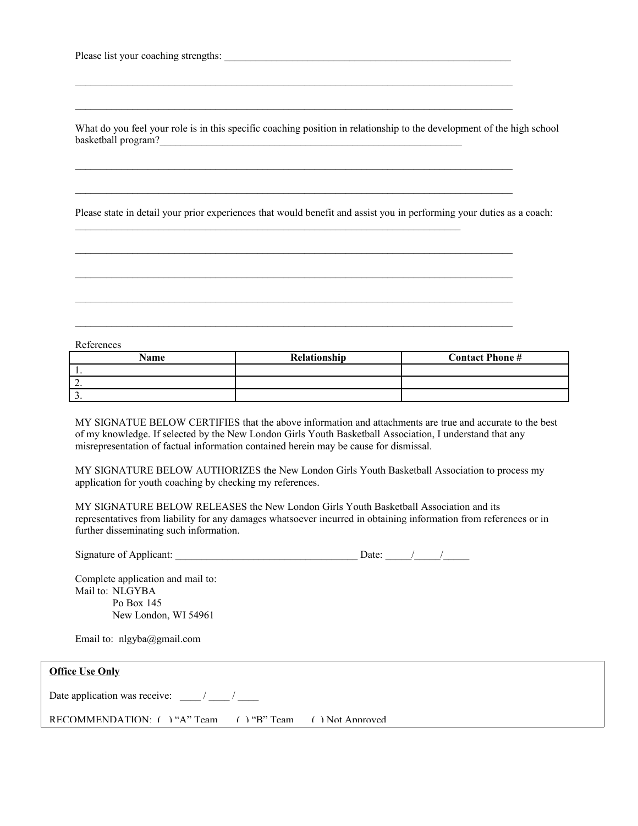What do you feel your role is in this specific coaching position in relationship to the development of the high school basketball program?

 $\mathcal{L}_\mathcal{L} = \{ \mathcal{L}_\mathcal{L} = \{ \mathcal{L}_\mathcal{L} = \{ \mathcal{L}_\mathcal{L} = \{ \mathcal{L}_\mathcal{L} = \{ \mathcal{L}_\mathcal{L} = \{ \mathcal{L}_\mathcal{L} = \{ \mathcal{L}_\mathcal{L} = \{ \mathcal{L}_\mathcal{L} = \{ \mathcal{L}_\mathcal{L} = \{ \mathcal{L}_\mathcal{L} = \{ \mathcal{L}_\mathcal{L} = \{ \mathcal{L}_\mathcal{L} = \{ \mathcal{L}_\mathcal{L} = \{ \mathcal{L}_\mathcal{$ 

 $\mathcal{L}_\text{max}$ 

 $\mathcal{L}_\text{max}$ 

 $\mathcal{L}_\mathcal{L} = \{ \mathcal{L}_\mathcal{L} = \{ \mathcal{L}_\mathcal{L} = \{ \mathcal{L}_\mathcal{L} = \{ \mathcal{L}_\mathcal{L} = \{ \mathcal{L}_\mathcal{L} = \{ \mathcal{L}_\mathcal{L} = \{ \mathcal{L}_\mathcal{L} = \{ \mathcal{L}_\mathcal{L} = \{ \mathcal{L}_\mathcal{L} = \{ \mathcal{L}_\mathcal{L} = \{ \mathcal{L}_\mathcal{L} = \{ \mathcal{L}_\mathcal{L} = \{ \mathcal{L}_\mathcal{L} = \{ \mathcal{L}_\mathcal{$ 

 $\mathcal{L}_\mathcal{L} = \{ \mathcal{L}_\mathcal{L} = \{ \mathcal{L}_\mathcal{L} = \{ \mathcal{L}_\mathcal{L} = \{ \mathcal{L}_\mathcal{L} = \{ \mathcal{L}_\mathcal{L} = \{ \mathcal{L}_\mathcal{L} = \{ \mathcal{L}_\mathcal{L} = \{ \mathcal{L}_\mathcal{L} = \{ \mathcal{L}_\mathcal{L} = \{ \mathcal{L}_\mathcal{L} = \{ \mathcal{L}_\mathcal{L} = \{ \mathcal{L}_\mathcal{L} = \{ \mathcal{L}_\mathcal{L} = \{ \mathcal{L}_\mathcal{$ 

Please state in detail your prior experiences that would benefit and assist you in performing your duties as a coach:

References

| Name                     | Relationship | <b>Contact Phone#</b> |
|--------------------------|--------------|-----------------------|
|                          |              |                       |
| <u>.</u>                 |              |                       |
| $\overline{\phantom{a}}$ |              |                       |

MY SIGNATUE BELOW CERTIFIES that the above information and attachments are true and accurate to the best of my knowledge. If selected by the New London Girls Youth Basketball Association, I understand that any misrepresentation of factual information contained herein may be cause for dismissal.

MY SIGNATURE BELOW AUTHORIZES the New London Girls Youth Basketball Association to process my application for youth coaching by checking my references.

MY SIGNATURE BELOW RELEASES the New London Girls Youth Basketball Association and its representatives from liability for any damages whatsoever incurred in obtaining information from references or in further disseminating such information.

| Signature of Applicant: |  |
|-------------------------|--|
|                         |  |

Complete application and mail to: Mail to: NLGYBA Po Box 145 New London, WI 54961

Email to: nlgyba@gmail.com

| <b>Office Use Only</b>                                  |  |
|---------------------------------------------------------|--|
| Date application was receive: / /                       |  |
| RECOMMENDATION: () "A" Team () "B" Team () Not Approved |  |